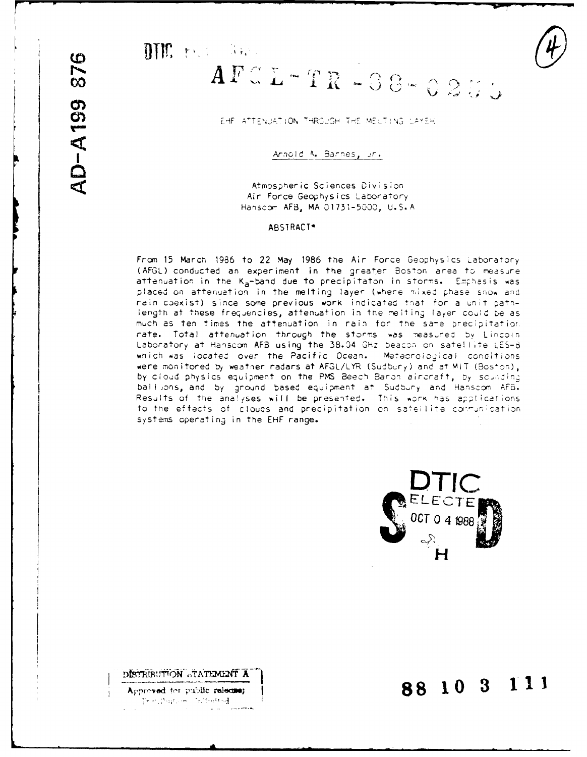## DTM: Hall State

DISTRIBUTION STATEMENT A

Approved for public release;  $\mathbb{E} \mathbf{e} \cdot \mathbf{e} \cdot \mathbf{e} \cdot \mathbf{e} \cdot \mathbf{e} \cdot \mathbf{e} \cdot \mathbf{e} \cdot \mathbf{e} \cdot \mathbf{e} \cdot \mathbf{e} \cdot \mathbf{e} \cdot \mathbf{e} \cdot \mathbf{e}$ 

 $\mathcal{L}^{\mathcal{L}}$  and

.<br>Lista merka

# $\textbf{A} \, \textbf{F} \, \textbf{C} \, \textbf{L} - \textbf{T} \, \textbf{R}$  - 38 - 0255

EHF ATTENUATION THROUGH THE MELTING LAYER

Annold A. Bannes, un.

Atmospheric Sciences Division Air Force Geophysics Laboratory Hanscom AFB, MA 01731-5000, U.S.A

### ABSTRACT\*

From 15 March 1986 to 22 May 1986 the Air Force Geophysics Laboratory (AFGL) conducted an experiment in the greater Boston area to measure attenuation in the K<sub>a</sub>-band due to precipitaton in storms. Emphasis was placed on attenuation in the melting layer (where mixed phase snow and rain coexist) since some previous work indicated that for a unit pathlength at these frequencies, attenuation in the melting layer could be as much as ten times the attenuation in rain for the same precipitation rate. Total attenuation through the storms was measured by Lincoln Laboratory at Hanscom AFB using the 38.04 GHz beacon on satellite LES-8 which was located over the Pacific Ocean. Meteorological conditions were monitored by weather radars at AFGL/LYR (Sudbury) and at MIT (Boston), by cloud physics equipment on the PMS Beech Baron aircraft, by sounding ball ons, and by ground based equipment at Sudbury and Hanscom AFB. Results of the analyses will be presented. This work has applications to the effects of clouds and precipitation on satellite communication systems operating in the EHF range.



88 10 3 111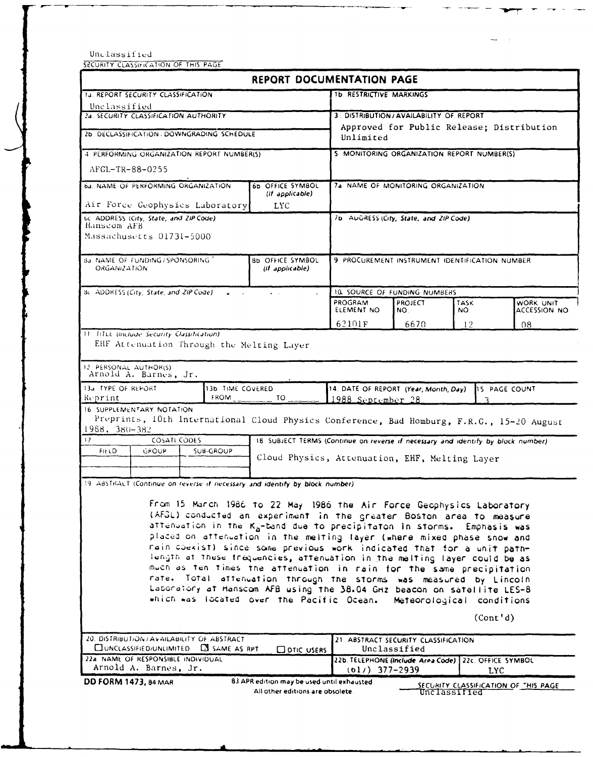Unclassified

SECURITY CLASSIFICATION OF THIS PAGE

| <b>1b. RESTRICTIVE MARKINGS</b><br><b>1J. REPORT SECURITY CLASSIFICATION</b><br>Unclassified<br>2a. SECURITY CLASSIFICATION AUTHORITY<br>3. DISTRIBUTION/AVAILABILITY OF REPORT<br>Approved for Public Release; Distribution<br>2b. DECLASSIFICATION / DOWNGRADING SCHEDULE<br>Unlimited<br>5 MONITORING ORGANIZATION REPORT NUMBER(S)<br>4 PERFORMING ORGANIZATION REPORT NUMBER(S)<br>AFGL-TR-88-0255<br>64. NAME OF PERFORMING ORGANIZATION<br>6b OFFICE SYMBOL<br>7a NAME OF MONITORING ORGANIZATION<br>(if applicable)<br>Air Force Geophysics Laboratory<br><b>LYC</b><br>GC ADDRESS (City, State, and ZIP Code)<br>7b AUGRESS (City, State, and ZIP Code)<br>Hanscom AFB<br>Massachusetts 01731-5000<br><b>Ba. NAME OF FUNDING/SPONSORING</b><br>8b OFFICE SYMBOL<br>9 PROCUREMENT INSTRUMENT IDENTIFICATION NUMBER<br><b>ORGANIZATION</b><br>(if applicable)<br>BC ADDRESS (City, State, and 2IP Code).<br><b>10. SOURCE OF FUNDING NUMBERS</b><br>PROGRAM<br>WORK UNIT<br><b>PROJECT</b><br><b>TASK</b><br>ELEMENT NO<br>ACCESSION NO.<br>NO.<br>NO.<br>62101F<br>6670<br>12<br>08<br>11 TiTLE (include Security Classification)<br>EHF Attenuation Through the Melting Layer<br>12 PERSONAL AUTHOR(S)<br>Arnold A. Barnes, Jr.<br>13a TYPE OF REPORT<br>14. DATE OF REPORT (Year, Month, Day)<br>13b TIME COVERED<br>15 PAGE COUNT<br><b>FROM</b><br>TO<br>Reprint<br>1988 September 28<br>16 SUPPLEMENTARY NOTATION<br>Preprints, 10th International Cloud Physics Conference, Bad Homburg, F.R.G., 15-20 August<br>$1988, 380 - 382$<br><b>COSATI CODES</b><br>18 SUBJECT TERMS (Continue on reverse if necessary and identify by block number).<br>FIELD<br>GROUP<br><b>SUB-GROUP</b><br>Cloud Physics, Attenuation, EHF, Melting Layer<br>19. ABSTRACT (Continue on reverse if necessary and identify by block number).<br>From 15 March 1986 to 22 May 1986 the Air Force Geophysics Laboratory<br>(AFGL) conducted an experiment in the greater Boston area to measure<br>attenuation in the K <sub>a</sub> -band due to precipitaton in storms. Emphasis was<br>placed on attenuation in the melting layer (where mixed phase snow and<br>nain coekist) since some previous work indicated that for a unit path-<br>length of these frequencies, attenuation in the melting layer could be as<br>much as ten times the attenuation in rain for the same precipitation<br>rate. Total attenuation through the storms was measured by Lincoln<br>Laboratory at Hanscom AFB using the 38.04 GHz beacon on satellite LES-8<br>which was focated over the Pacific Ocean.<br>Meteorological conditions<br>(Cont 'd)<br>20. DISTRIBUTION / AVAILABILITY OF ABSTRACT<br>21. ABSTRACT SECURITY CLASSIFICATION<br><b>ELUNCLASSIFIED/UNLIMITED</b><br><b>CJ</b> SAME AS RPT<br>Unclassified<br><b>COTIC USERS</b><br>22a NAME OF RESPONSIBLE INDIVIDUAL<br>22b. TELEPHONE (Include Area Code) 22c. OFFICE SYMBOL<br>Arnold A. Barnes, Jr.<br>$(b1/)$ 377-2939<br><b>LYC</b><br>83 APR edition may be used until exhausted.<br><b>DD FORM 1473, 84 MAR</b><br>SECURITY CLASSIFICATION OF THIS PAGE | <b>REPORT DOCUMENTATION PAGE</b> |  |  |  |  |  |  |
|---------------------------------------------------------------------------------------------------------------------------------------------------------------------------------------------------------------------------------------------------------------------------------------------------------------------------------------------------------------------------------------------------------------------------------------------------------------------------------------------------------------------------------------------------------------------------------------------------------------------------------------------------------------------------------------------------------------------------------------------------------------------------------------------------------------------------------------------------------------------------------------------------------------------------------------------------------------------------------------------------------------------------------------------------------------------------------------------------------------------------------------------------------------------------------------------------------------------------------------------------------------------------------------------------------------------------------------------------------------------------------------------------------------------------------------------------------------------------------------------------------------------------------------------------------------------------------------------------------------------------------------------------------------------------------------------------------------------------------------------------------------------------------------------------------------------------------------------------------------------------------------------------------------------------------------------------------------------------------------------------------------------------------------------------------------------------------------------------------------------------------------------------------------------------------------------------------------------------------------------------------------------------------------------------------------------------------------------------------------------------------------------------------------------------------------------------------------------------------------------------------------------------------------------------------------------------------------------------------------------------------------------------------------------------------------------------------------------------------------------------------------------------------------------------------------------------------------------------------------------------------------------------------------------------------------------------------------------------------------------------------------------------------------------------------------------------------------------------------|----------------------------------|--|--|--|--|--|--|
|                                                                                                                                                                                                                                                                                                                                                                                                                                                                                                                                                                                                                                                                                                                                                                                                                                                                                                                                                                                                                                                                                                                                                                                                                                                                                                                                                                                                                                                                                                                                                                                                                                                                                                                                                                                                                                                                                                                                                                                                                                                                                                                                                                                                                                                                                                                                                                                                                                                                                                                                                                                                                                                                                                                                                                                                                                                                                                                                                                                                                                                                                                         |                                  |  |  |  |  |  |  |
|                                                                                                                                                                                                                                                                                                                                                                                                                                                                                                                                                                                                                                                                                                                                                                                                                                                                                                                                                                                                                                                                                                                                                                                                                                                                                                                                                                                                                                                                                                                                                                                                                                                                                                                                                                                                                                                                                                                                                                                                                                                                                                                                                                                                                                                                                                                                                                                                                                                                                                                                                                                                                                                                                                                                                                                                                                                                                                                                                                                                                                                                                                         |                                  |  |  |  |  |  |  |
|                                                                                                                                                                                                                                                                                                                                                                                                                                                                                                                                                                                                                                                                                                                                                                                                                                                                                                                                                                                                                                                                                                                                                                                                                                                                                                                                                                                                                                                                                                                                                                                                                                                                                                                                                                                                                                                                                                                                                                                                                                                                                                                                                                                                                                                                                                                                                                                                                                                                                                                                                                                                                                                                                                                                                                                                                                                                                                                                                                                                                                                                                                         |                                  |  |  |  |  |  |  |
|                                                                                                                                                                                                                                                                                                                                                                                                                                                                                                                                                                                                                                                                                                                                                                                                                                                                                                                                                                                                                                                                                                                                                                                                                                                                                                                                                                                                                                                                                                                                                                                                                                                                                                                                                                                                                                                                                                                                                                                                                                                                                                                                                                                                                                                                                                                                                                                                                                                                                                                                                                                                                                                                                                                                                                                                                                                                                                                                                                                                                                                                                                         |                                  |  |  |  |  |  |  |
|                                                                                                                                                                                                                                                                                                                                                                                                                                                                                                                                                                                                                                                                                                                                                                                                                                                                                                                                                                                                                                                                                                                                                                                                                                                                                                                                                                                                                                                                                                                                                                                                                                                                                                                                                                                                                                                                                                                                                                                                                                                                                                                                                                                                                                                                                                                                                                                                                                                                                                                                                                                                                                                                                                                                                                                                                                                                                                                                                                                                                                                                                                         |                                  |  |  |  |  |  |  |
|                                                                                                                                                                                                                                                                                                                                                                                                                                                                                                                                                                                                                                                                                                                                                                                                                                                                                                                                                                                                                                                                                                                                                                                                                                                                                                                                                                                                                                                                                                                                                                                                                                                                                                                                                                                                                                                                                                                                                                                                                                                                                                                                                                                                                                                                                                                                                                                                                                                                                                                                                                                                                                                                                                                                                                                                                                                                                                                                                                                                                                                                                                         |                                  |  |  |  |  |  |  |
|                                                                                                                                                                                                                                                                                                                                                                                                                                                                                                                                                                                                                                                                                                                                                                                                                                                                                                                                                                                                                                                                                                                                                                                                                                                                                                                                                                                                                                                                                                                                                                                                                                                                                                                                                                                                                                                                                                                                                                                                                                                                                                                                                                                                                                                                                                                                                                                                                                                                                                                                                                                                                                                                                                                                                                                                                                                                                                                                                                                                                                                                                                         |                                  |  |  |  |  |  |  |
|                                                                                                                                                                                                                                                                                                                                                                                                                                                                                                                                                                                                                                                                                                                                                                                                                                                                                                                                                                                                                                                                                                                                                                                                                                                                                                                                                                                                                                                                                                                                                                                                                                                                                                                                                                                                                                                                                                                                                                                                                                                                                                                                                                                                                                                                                                                                                                                                                                                                                                                                                                                                                                                                                                                                                                                                                                                                                                                                                                                                                                                                                                         |                                  |  |  |  |  |  |  |
|                                                                                                                                                                                                                                                                                                                                                                                                                                                                                                                                                                                                                                                                                                                                                                                                                                                                                                                                                                                                                                                                                                                                                                                                                                                                                                                                                                                                                                                                                                                                                                                                                                                                                                                                                                                                                                                                                                                                                                                                                                                                                                                                                                                                                                                                                                                                                                                                                                                                                                                                                                                                                                                                                                                                                                                                                                                                                                                                                                                                                                                                                                         |                                  |  |  |  |  |  |  |
|                                                                                                                                                                                                                                                                                                                                                                                                                                                                                                                                                                                                                                                                                                                                                                                                                                                                                                                                                                                                                                                                                                                                                                                                                                                                                                                                                                                                                                                                                                                                                                                                                                                                                                                                                                                                                                                                                                                                                                                                                                                                                                                                                                                                                                                                                                                                                                                                                                                                                                                                                                                                                                                                                                                                                                                                                                                                                                                                                                                                                                                                                                         |                                  |  |  |  |  |  |  |
|                                                                                                                                                                                                                                                                                                                                                                                                                                                                                                                                                                                                                                                                                                                                                                                                                                                                                                                                                                                                                                                                                                                                                                                                                                                                                                                                                                                                                                                                                                                                                                                                                                                                                                                                                                                                                                                                                                                                                                                                                                                                                                                                                                                                                                                                                                                                                                                                                                                                                                                                                                                                                                                                                                                                                                                                                                                                                                                                                                                                                                                                                                         |                                  |  |  |  |  |  |  |
|                                                                                                                                                                                                                                                                                                                                                                                                                                                                                                                                                                                                                                                                                                                                                                                                                                                                                                                                                                                                                                                                                                                                                                                                                                                                                                                                                                                                                                                                                                                                                                                                                                                                                                                                                                                                                                                                                                                                                                                                                                                                                                                                                                                                                                                                                                                                                                                                                                                                                                                                                                                                                                                                                                                                                                                                                                                                                                                                                                                                                                                                                                         |                                  |  |  |  |  |  |  |
|                                                                                                                                                                                                                                                                                                                                                                                                                                                                                                                                                                                                                                                                                                                                                                                                                                                                                                                                                                                                                                                                                                                                                                                                                                                                                                                                                                                                                                                                                                                                                                                                                                                                                                                                                                                                                                                                                                                                                                                                                                                                                                                                                                                                                                                                                                                                                                                                                                                                                                                                                                                                                                                                                                                                                                                                                                                                                                                                                                                                                                                                                                         |                                  |  |  |  |  |  |  |
|                                                                                                                                                                                                                                                                                                                                                                                                                                                                                                                                                                                                                                                                                                                                                                                                                                                                                                                                                                                                                                                                                                                                                                                                                                                                                                                                                                                                                                                                                                                                                                                                                                                                                                                                                                                                                                                                                                                                                                                                                                                                                                                                                                                                                                                                                                                                                                                                                                                                                                                                                                                                                                                                                                                                                                                                                                                                                                                                                                                                                                                                                                         |                                  |  |  |  |  |  |  |
|                                                                                                                                                                                                                                                                                                                                                                                                                                                                                                                                                                                                                                                                                                                                                                                                                                                                                                                                                                                                                                                                                                                                                                                                                                                                                                                                                                                                                                                                                                                                                                                                                                                                                                                                                                                                                                                                                                                                                                                                                                                                                                                                                                                                                                                                                                                                                                                                                                                                                                                                                                                                                                                                                                                                                                                                                                                                                                                                                                                                                                                                                                         |                                  |  |  |  |  |  |  |
|                                                                                                                                                                                                                                                                                                                                                                                                                                                                                                                                                                                                                                                                                                                                                                                                                                                                                                                                                                                                                                                                                                                                                                                                                                                                                                                                                                                                                                                                                                                                                                                                                                                                                                                                                                                                                                                                                                                                                                                                                                                                                                                                                                                                                                                                                                                                                                                                                                                                                                                                                                                                                                                                                                                                                                                                                                                                                                                                                                                                                                                                                                         |                                  |  |  |  |  |  |  |
|                                                                                                                                                                                                                                                                                                                                                                                                                                                                                                                                                                                                                                                                                                                                                                                                                                                                                                                                                                                                                                                                                                                                                                                                                                                                                                                                                                                                                                                                                                                                                                                                                                                                                                                                                                                                                                                                                                                                                                                                                                                                                                                                                                                                                                                                                                                                                                                                                                                                                                                                                                                                                                                                                                                                                                                                                                                                                                                                                                                                                                                                                                         |                                  |  |  |  |  |  |  |
|                                                                                                                                                                                                                                                                                                                                                                                                                                                                                                                                                                                                                                                                                                                                                                                                                                                                                                                                                                                                                                                                                                                                                                                                                                                                                                                                                                                                                                                                                                                                                                                                                                                                                                                                                                                                                                                                                                                                                                                                                                                                                                                                                                                                                                                                                                                                                                                                                                                                                                                                                                                                                                                                                                                                                                                                                                                                                                                                                                                                                                                                                                         |                                  |  |  |  |  |  |  |
|                                                                                                                                                                                                                                                                                                                                                                                                                                                                                                                                                                                                                                                                                                                                                                                                                                                                                                                                                                                                                                                                                                                                                                                                                                                                                                                                                                                                                                                                                                                                                                                                                                                                                                                                                                                                                                                                                                                                                                                                                                                                                                                                                                                                                                                                                                                                                                                                                                                                                                                                                                                                                                                                                                                                                                                                                                                                                                                                                                                                                                                                                                         |                                  |  |  |  |  |  |  |
|                                                                                                                                                                                                                                                                                                                                                                                                                                                                                                                                                                                                                                                                                                                                                                                                                                                                                                                                                                                                                                                                                                                                                                                                                                                                                                                                                                                                                                                                                                                                                                                                                                                                                                                                                                                                                                                                                                                                                                                                                                                                                                                                                                                                                                                                                                                                                                                                                                                                                                                                                                                                                                                                                                                                                                                                                                                                                                                                                                                                                                                                                                         | $\overline{17}$                  |  |  |  |  |  |  |
|                                                                                                                                                                                                                                                                                                                                                                                                                                                                                                                                                                                                                                                                                                                                                                                                                                                                                                                                                                                                                                                                                                                                                                                                                                                                                                                                                                                                                                                                                                                                                                                                                                                                                                                                                                                                                                                                                                                                                                                                                                                                                                                                                                                                                                                                                                                                                                                                                                                                                                                                                                                                                                                                                                                                                                                                                                                                                                                                                                                                                                                                                                         |                                  |  |  |  |  |  |  |
|                                                                                                                                                                                                                                                                                                                                                                                                                                                                                                                                                                                                                                                                                                                                                                                                                                                                                                                                                                                                                                                                                                                                                                                                                                                                                                                                                                                                                                                                                                                                                                                                                                                                                                                                                                                                                                                                                                                                                                                                                                                                                                                                                                                                                                                                                                                                                                                                                                                                                                                                                                                                                                                                                                                                                                                                                                                                                                                                                                                                                                                                                                         |                                  |  |  |  |  |  |  |
|                                                                                                                                                                                                                                                                                                                                                                                                                                                                                                                                                                                                                                                                                                                                                                                                                                                                                                                                                                                                                                                                                                                                                                                                                                                                                                                                                                                                                                                                                                                                                                                                                                                                                                                                                                                                                                                                                                                                                                                                                                                                                                                                                                                                                                                                                                                                                                                                                                                                                                                                                                                                                                                                                                                                                                                                                                                                                                                                                                                                                                                                                                         |                                  |  |  |  |  |  |  |
|                                                                                                                                                                                                                                                                                                                                                                                                                                                                                                                                                                                                                                                                                                                                                                                                                                                                                                                                                                                                                                                                                                                                                                                                                                                                                                                                                                                                                                                                                                                                                                                                                                                                                                                                                                                                                                                                                                                                                                                                                                                                                                                                                                                                                                                                                                                                                                                                                                                                                                                                                                                                                                                                                                                                                                                                                                                                                                                                                                                                                                                                                                         |                                  |  |  |  |  |  |  |
|                                                                                                                                                                                                                                                                                                                                                                                                                                                                                                                                                                                                                                                                                                                                                                                                                                                                                                                                                                                                                                                                                                                                                                                                                                                                                                                                                                                                                                                                                                                                                                                                                                                                                                                                                                                                                                                                                                                                                                                                                                                                                                                                                                                                                                                                                                                                                                                                                                                                                                                                                                                                                                                                                                                                                                                                                                                                                                                                                                                                                                                                                                         |                                  |  |  |  |  |  |  |
|                                                                                                                                                                                                                                                                                                                                                                                                                                                                                                                                                                                                                                                                                                                                                                                                                                                                                                                                                                                                                                                                                                                                                                                                                                                                                                                                                                                                                                                                                                                                                                                                                                                                                                                                                                                                                                                                                                                                                                                                                                                                                                                                                                                                                                                                                                                                                                                                                                                                                                                                                                                                                                                                                                                                                                                                                                                                                                                                                                                                                                                                                                         |                                  |  |  |  |  |  |  |
|                                                                                                                                                                                                                                                                                                                                                                                                                                                                                                                                                                                                                                                                                                                                                                                                                                                                                                                                                                                                                                                                                                                                                                                                                                                                                                                                                                                                                                                                                                                                                                                                                                                                                                                                                                                                                                                                                                                                                                                                                                                                                                                                                                                                                                                                                                                                                                                                                                                                                                                                                                                                                                                                                                                                                                                                                                                                                                                                                                                                                                                                                                         |                                  |  |  |  |  |  |  |
|                                                                                                                                                                                                                                                                                                                                                                                                                                                                                                                                                                                                                                                                                                                                                                                                                                                                                                                                                                                                                                                                                                                                                                                                                                                                                                                                                                                                                                                                                                                                                                                                                                                                                                                                                                                                                                                                                                                                                                                                                                                                                                                                                                                                                                                                                                                                                                                                                                                                                                                                                                                                                                                                                                                                                                                                                                                                                                                                                                                                                                                                                                         |                                  |  |  |  |  |  |  |
|                                                                                                                                                                                                                                                                                                                                                                                                                                                                                                                                                                                                                                                                                                                                                                                                                                                                                                                                                                                                                                                                                                                                                                                                                                                                                                                                                                                                                                                                                                                                                                                                                                                                                                                                                                                                                                                                                                                                                                                                                                                                                                                                                                                                                                                                                                                                                                                                                                                                                                                                                                                                                                                                                                                                                                                                                                                                                                                                                                                                                                                                                                         |                                  |  |  |  |  |  |  |
|                                                                                                                                                                                                                                                                                                                                                                                                                                                                                                                                                                                                                                                                                                                                                                                                                                                                                                                                                                                                                                                                                                                                                                                                                                                                                                                                                                                                                                                                                                                                                                                                                                                                                                                                                                                                                                                                                                                                                                                                                                                                                                                                                                                                                                                                                                                                                                                                                                                                                                                                                                                                                                                                                                                                                                                                                                                                                                                                                                                                                                                                                                         |                                  |  |  |  |  |  |  |
|                                                                                                                                                                                                                                                                                                                                                                                                                                                                                                                                                                                                                                                                                                                                                                                                                                                                                                                                                                                                                                                                                                                                                                                                                                                                                                                                                                                                                                                                                                                                                                                                                                                                                                                                                                                                                                                                                                                                                                                                                                                                                                                                                                                                                                                                                                                                                                                                                                                                                                                                                                                                                                                                                                                                                                                                                                                                                                                                                                                                                                                                                                         |                                  |  |  |  |  |  |  |
|                                                                                                                                                                                                                                                                                                                                                                                                                                                                                                                                                                                                                                                                                                                                                                                                                                                                                                                                                                                                                                                                                                                                                                                                                                                                                                                                                                                                                                                                                                                                                                                                                                                                                                                                                                                                                                                                                                                                                                                                                                                                                                                                                                                                                                                                                                                                                                                                                                                                                                                                                                                                                                                                                                                                                                                                                                                                                                                                                                                                                                                                                                         |                                  |  |  |  |  |  |  |

All other editions are obsolete.

Unclassified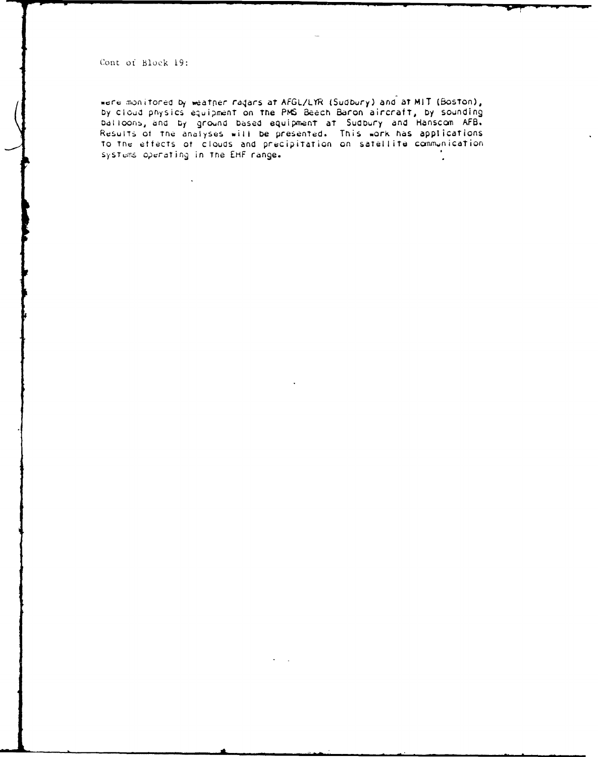Cont of Block 19:

were monitored by weather radars at AFGL/LYR (Sudbury) and at MIT (Boston), by cloud physics equipment on the PMS Beech Baron aircraft, by sounding balloons, and by ground based equipment at Sudbury and Hanscom AFB.<br>Results of the analyses will be presented. This work has applications<br>to the effects of clouds and precipitation on satellite communication systems operating in the EHF range.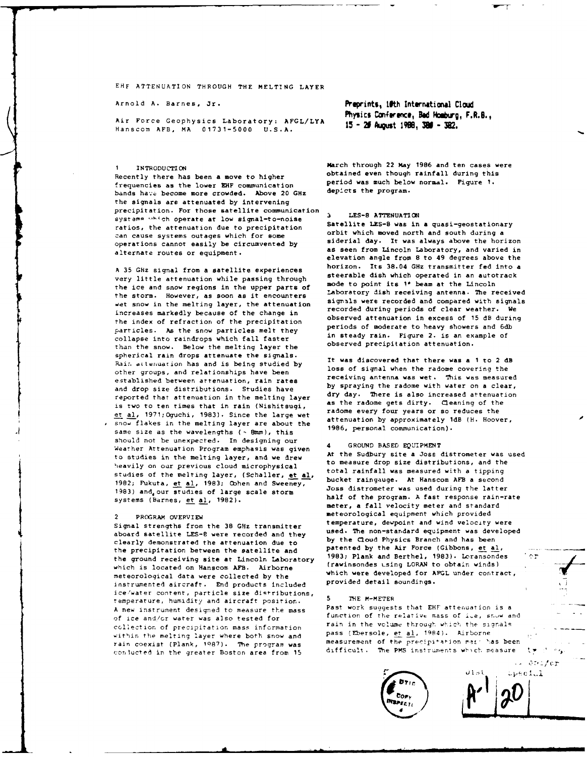EHF ATTENUATION THROUGH THE MELTING LAYER

Air Force Geophysics Laboratory: AFGL/LYA 15 - 25 August 1988, 380 - 382. Hanscom AFB, MA 01731-5000 U.S.A.

Recently there has been a move to higher frequencies as the lower ENF communication period was much below normal. Figure 1.<br>frequencies as the lower ENF communication depicts the program. bands have become more crowded. Above 20 GHz the signals are attenuated by intervening precipitation. For those satellite communication precipitation. For those satellite communication<br>systems which operate at low signal-to-noise<br>ratios, the attenuation due to precipitation<br>can cause systems outages which for some orbit which moved north and south during a operations cannot easily be circumvented by siderial day. It was always above the horizon

very little attenuation while passing through steerable dish which operated in an autotrack very state of the steelers of the steelers of the steelers of the steelers of the steelers of the steelers of the steelers of the the ice and snow regions in the upper parts **Of** mode to paint its **1** beam at the Lincoln the storm. However, as soon as it encounters Laboratory dish receiving antenna. The received<br>the storm is the politics lower the attenuation signals were recorded and compared with signals wet snow in the melting layer, the attenuation  $\frac{1}{2}$  increases markedly because of the change in recorded during periods of clear weather. We<br>increases markedly because of the change in observed attenuation in excess of 15 dB during the index of refraction of the precipitation observed attenuation in excess of 15 dB during<br>periods of moderate to heavy showers and 6db particles. As the snow particles melt they periods or moderate to heavy showers and 6db<br>collance into raindrone which fall factor in steady rain. Figure 2, is an example of collapse into raindrops which fall faster in steady rain. Figure 2. is an example of the rain of the problem of the of the problem of the problem of the observed precipitation attenuation. than the snow. Below the melting layer the spherical rain drops attenuate the signals. It was discovered that there was a **1** to 2 dB Rain attenuation has and is being studied by lt was discovered that there was a 1 to 2 div other groups, and relationships have been established between attenuation, rain rates receiving antenna was wet. This was measured<br>established between attenuation, rain rates by spraying the radome with water on a clear, and drop size distributions. Studies have by spraying the radome with water on a clear,<br>contrad that attenuation is the politics loves of day. There is also increased attenuation reported that attenuation in the melting layer is two to ten times that in rain (Nishitsugi, as the radome gets dirty. Cleaning of the et al, 1971;Oguchi, 1983). Since the large wet radome every four years or so reduces the<br>cool flatos in the molting likes the large wet attenuation by approximately 1dB (H. Hoover, **b** snow flakes in the melting layer are about the attenuation by approximately is same size as the wavelengths  $($  - 8mm), this 1986, personal communication). should not be unexpected. In designing our Should not be unexpected. In designing our<br>Weather Attenuation Program emphasis was given the Sudbury site a Joss distrometer was used<br>to studies in the malting layer and up drow. At the Sudbury site a Joss distrometer was to studies in the melting layer, and we drew At the Sudbury site a Joss distrometer was used in the subsequence of the Sudbury site a Joss distributions, and the heavily on our previous cloud microphysical to measure drop size distributions, and the heavily property property property of the melting laws. (Schaller et al. total rainfall was measured with a tipping studies of the melting layer, (Schaller, et al, bucket raingauge. At Hanscom AFB a second 1982; Fukuta, et al, 1983; Cohen and Sweeney, Ducket Failigauge. At Hanscom AFB a second 1982; Pukuta, et al, 1983<br>1983; And our etudies of large scale storm. Joss distrometer was used during the latter 1983) and our studies of large scale storm

Signal strengths from the 38 GHz transmitter aboard satelly instrument and the sound interest weed. The non-standard equipment was developed<br>aboard satellite LES-8 were recorded and they by the Cloud Physics Branch and has been clearly demonstrated the attenuation due to **by** the Cloud Physics Branch and has been the precipitation between the satellite and the ground receiving site at Lincoln Laboratory 1983; Plank and Berthel, 1983). Loransondes **4'** which is located on Hanscom AFB. Airborne (rawinsondes using LORAN to obtain winds) meteorological data were which were developed for AFGL under contract,<br>meteorological data were collected by the provided detail soundings. instrumented aircraft. End products included ice/water content, particle size distributions, temperature, humidity and aircraft position. **5 7HE M-METER**<br>temperature, humidity and aircraft position. Past work suggests that EHF attenuation is a A new instrument designed to measure the mass of ice and/or water was also tested for function of the relative mass of i.e, snow and of the analog waver was discussed for the rain in the volume through which the signals collection of precipitation mass information. within the melting layer where both snow and pass (Ebersole,  $\underline{et}$  al, 1984). Airborne<br>rain coexist (Plank, 1987). The program was imeasurement of the precipitation masilias been rain coexist (Plank, 1987). The program was conjucted in the greater Boston area from 15 difficult. The PMS instruments which measure **two** 

Arnold A. Barnes, Jr. **Peprints, Ifth International Cloud**<br>Physics Conference, **Bad Homburg, F.R.8.,** 

**1 INTRODUCTION** March through 22 May **1986** and ten cases were

operations cannot easily be clicumvented by and seen from Lincoln Laboratory, and varied in alternate routes or equipment. **A 35** GHz signal from a satellite experiences horizon. Its 38.04 **GHz** transmitter fed into a

systems (Barnes, et al., 1982). half of the program. A fast response rain-rate systems (Barnes, et al., 1982). meter, a fall velocity meter and standard 2 PROGRAM OVERVIEW meteorological equipment which provided<br>Signal streamths from the 28 CH- transmitter at temperature, dewpoint and wind velocity were



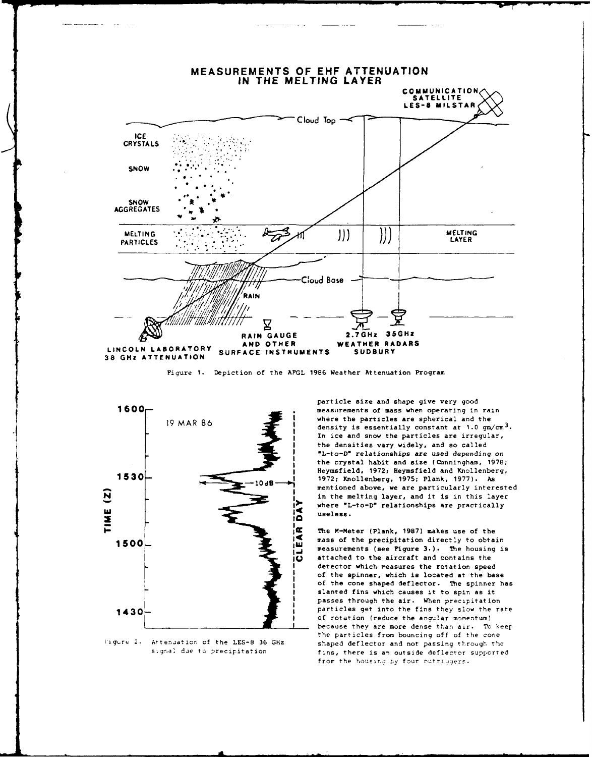

Figure 1. Depiction of the AFGL 1986 Weather Attenuation Program



Figure 2. Attenuation of the LES-8 36 GHz signal due to precipitation

particle size and shape give very good measurements of mass when operating in rain where the particles are spherical and the density is essentially constant at  $1.0 \text{ gm/cm}^3$ . In ice and snow the particles are irregular, the densities vary widely, and so called "L-to-D" relationships are used depending on the crystal habit and size (Cunningham, 1978; Heymsfield, 1972; Heymsfield and Knollenberg, 1972; Knollenberg, 1975; Plank, 1977). As mentioned above, we are particularly interested in the melting layer, and it is in this layer where "L-to-D" relationships are practically useless.

The M-Meter (Plank, 1987) makes use of the mass of the precipitation directly to obtain measurements (see Pigure 3.). The housing is attached to the aircraft and contains the detector which reasures the rotation speed of the spinner, which is located at the base of the cone shaped deflector. The spinner has slanted fins which causes it to spin as it passes through the air. When precipitation particles get into the fins they slow the rate of rotation (reduce the angular momentum) because they are more dense than air. To keep the particles from bouncing off of the cone shaped deflector and not passing through the fins, there is an outside deflector supported from the housing by four outriggers.